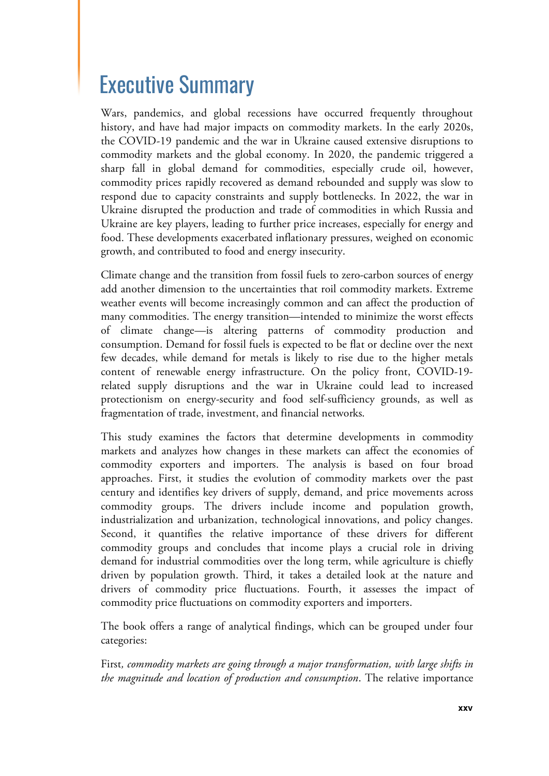## Executive Summary

Wars, pandemics, and global recessions have occurred frequently throughout history, and have had major impacts on commodity markets. In the early 2020s, the COVID-19 pandemic and the war in Ukraine caused extensive disruptions to commodity markets and the global economy. In 2020, the pandemic triggered a sharp fall in global demand for commodities, especially crude oil, however, commodity prices rapidly recovered as demand rebounded and supply was slow to respond due to capacity constraints and supply bottlenecks. In 2022, the war in Ukraine disrupted the production and trade of commodities in which Russia and Ukraine are key players, leading to further price increases, especially for energy and food. These developments exacerbated inflationary pressures, weighed on economic growth, and contributed to food and energy insecurity.

Climate change and the transition from fossil fuels to zero-carbon sources of energy add another dimension to the uncertainties that roil commodity markets. Extreme weather events will become increasingly common and can affect the production of many commodities. The energy transition—intended to minimize the worst effects of climate change—is altering patterns of commodity production and consumption. Demand for fossil fuels is expected to be flat or decline over the next few decades, while demand for metals is likely to rise due to the higher metals content of renewable energy infrastructure. On the policy front, COVID-19 related supply disruptions and the war in Ukraine could lead to increased protectionism on energy-security and food self-sufficiency grounds, as well as fragmentation of trade, investment, and financial networks.

This study examines the factors that determine developments in commodity markets and analyzes how changes in these markets can affect the economies of commodity exporters and importers. The analysis is based on four broad approaches. First, it studies the evolution of commodity markets over the past century and identifies key drivers of supply, demand, and price movements across commodity groups. The drivers include income and population growth, industrialization and urbanization, technological innovations, and policy changes. Second, it quantifies the relative importance of these drivers for different commodity groups and concludes that income plays a crucial role in driving demand for industrial commodities over the long term, while agriculture is chiefly driven by population growth. Third, it takes a detailed look at the nature and drivers of commodity price fluctuations. Fourth, it assesses the impact of commodity price fluctuations on commodity exporters and importers.

The book offers a range of analytical findings, which can be grouped under four categories:

First*, commodity markets are going through a major transformation, with large shifts in the magnitude and location of production and consumption*. The relative importance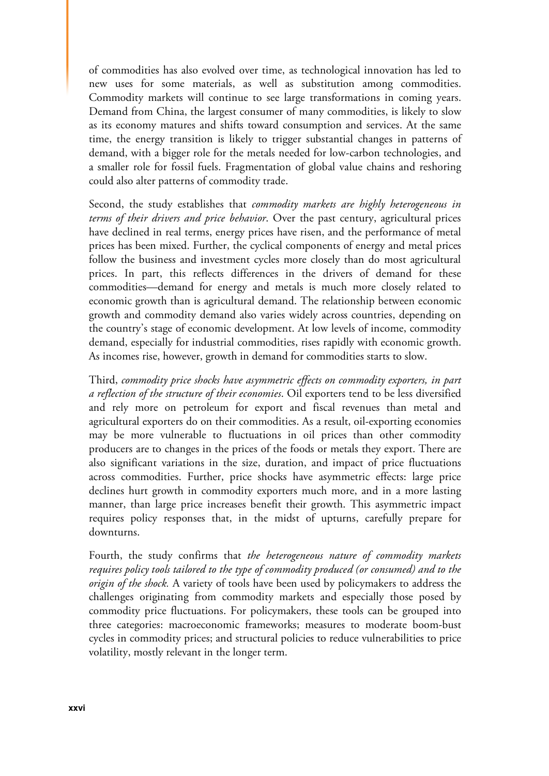of commodities has also evolved over time, as technological innovation has led to new uses for some materials, as well as substitution among commodities. Commodity markets will continue to see large transformations in coming years. Demand from China, the largest consumer of many commodities, is likely to slow as its economy matures and shifts toward consumption and services. At the same time, the energy transition is likely to trigger substantial changes in patterns of demand, with a bigger role for the metals needed for low-carbon technologies, and a smaller role for fossil fuels. Fragmentation of global value chains and reshoring could also alter patterns of commodity trade.

Second, the study establishes that *commodity markets are highly heterogeneous in terms of their drivers and price behavior*. Over the past century, agricultural prices have declined in real terms, energy prices have risen, and the performance of metal prices has been mixed. Further, the cyclical components of energy and metal prices follow the business and investment cycles more closely than do most agricultural prices. In part, this reflects differences in the drivers of demand for these commodities—demand for energy and metals is much more closely related to economic growth than is agricultural demand. The relationship between economic growth and commodity demand also varies widely across countries, depending on the country's stage of economic development. At low levels of income, commodity demand, especially for industrial commodities, rises rapidly with economic growth. As incomes rise, however, growth in demand for commodities starts to slow.

Third, *commodity price shocks have asymmetric effects on commodity exporters, in part a reflection of the structure of their economies*. Oil exporters tend to be less diversified and rely more on petroleum for export and fiscal revenues than metal and agricultural exporters do on their commodities. As a result, oil-exporting economies may be more vulnerable to fluctuations in oil prices than other commodity producers are to changes in the prices of the foods or metals they export. There are also significant variations in the size, duration, and impact of price fluctuations across commodities. Further, price shocks have asymmetric effects: large price declines hurt growth in commodity exporters much more, and in a more lasting manner, than large price increases benefit their growth. This asymmetric impact requires policy responses that, in the midst of upturns, carefully prepare for downturns.

Fourth, the study confirms that *the heterogeneous nature of commodity markets requires policy tools tailored to the type of commodity produced (or consumed) and to the origin of the shock.* A variety of tools have been used by policymakers to address the challenges originating from commodity markets and especially those posed by commodity price fluctuations. For policymakers, these tools can be grouped into three categories: macroeconomic frameworks; measures to moderate boom-bust cycles in commodity prices; and structural policies to reduce vulnerabilities to price volatility, mostly relevant in the longer term.